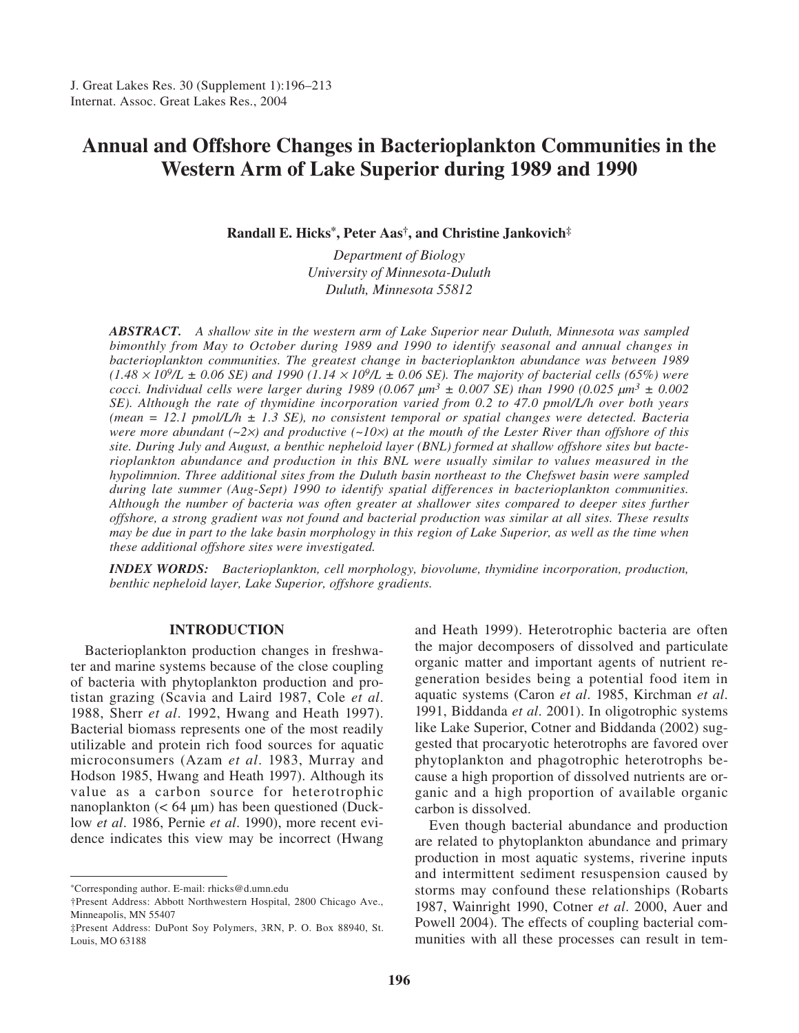# **Annual and Offshore Changes in Bacterioplankton Communities in the Western Arm of Lake Superior during 1989 and 1990**

**Randall E. Hicks\*, Peter Aas†, and Christine Jankovich‡**

*Department of Biology University of Minnesota-Duluth Duluth, Minnesota 55812*

*ABSTRACT. A shallow site in the western arm of Lake Superior near Duluth, Minnesota was sampled bimonthly from May to October during 1989 and 1990 to identify seasonal and annual changes in bacterioplankton communities. The greatest change in bacterioplankton abundance was between 1989 (1.48* <sup>×</sup> *109/L ± 0.06 SE) and 1990 (1.14* <sup>×</sup> *109/L ± 0.06 SE). The majority of bacterial cells (65%) were cocci. Individual cells were larger during 1989 (0.067*  $\mu m^3 \pm 0.007$  *SE) than 1990 (0.025*  $\mu m^3 \pm 0.002$ *) SE). Although the rate of thymidine incorporation varied from 0.2 to 47.0 pmol/L/h over both years (mean = 12.1 pmol/L/h ± 1.3 SE), no consistent temporal or spatial changes were detected. Bacteria were more abundant (~2*×*) and productive (~10*×*) at the mouth of the Lester River than offshore of this site. During July and August, a benthic nepheloid layer (BNL) formed at shallow offshore sites but bacterioplankton abundance and production in this BNL were usually similar to values measured in the hypolimnion. Three additional sites from the Duluth basin northeast to the Chefswet basin were sampled during late summer (Aug-Sept) 1990 to identify spatial differences in bacterioplankton communities. Although the number of bacteria was often greater at shallower sites compared to deeper sites further offshore, a strong gradient was not found and bacterial production was similar at all sites. These results may be due in part to the lake basin morphology in this region of Lake Superior, as well as the time when these additional offshore sites were investigated.*

*INDEX WORDS: Bacterioplankton, cell morphology, biovolume, thymidine incorporation, production, benthic nepheloid layer, Lake Superior, offshore gradients.*

## **INTRODUCTION**

Bacterioplankton production changes in freshwater and marine systems because of the close coupling of bacteria with phytoplankton production and protistan grazing (Scavia and Laird 1987, Cole *et al*. 1988, Sherr *et al*. 1992, Hwang and Heath 1997). Bacterial biomass represents one of the most readily utilizable and protein rich food sources for aquatic microconsumers (Azam *et al*. 1983, Murray and Hodson 1985, Hwang and Heath 1997). Although its value as a carbon source for heterotrophic nanoplankton  $(< 64 \text{ µm})$  has been questioned (Ducklow *et al*. 1986, Pernie *et al*. 1990), more recent evidence indicates this view may be incorrect (Hwang

and Heath 1999). Heterotrophic bacteria are often the major decomposers of dissolved and particulate organic matter and important agents of nutrient regeneration besides being a potential food item in aquatic systems (Caron *et al*. 1985, Kirchman *et al*. 1991, Biddanda *et al*. 2001). In oligotrophic systems like Lake Superior, Cotner and Biddanda (2002) suggested that procaryotic heterotrophs are favored over phytoplankton and phagotrophic heterotrophs because a high proportion of dissolved nutrients are organic and a high proportion of available organic carbon is dissolved.

Even though bacterial abundance and production are related to phytoplankton abundance and primary production in most aquatic systems, riverine inputs and intermittent sediment resuspension caused by storms may confound these relationships (Robarts 1987, Wainright 1990, Cotner *et al*. 2000, Auer and Powell 2004). The effects of coupling bacterial communities with all these processes can result in tem-

<sup>\*</sup>Corresponding author. E-mail: rhicks@d.umn.edu

<sup>†</sup>Present Address: Abbott Northwestern Hospital, 2800 Chicago Ave., Minneapolis, MN 55407

<sup>‡</sup>Present Address: DuPont Soy Polymers, 3RN, P. O. Box 88940, St. Louis, MO 63188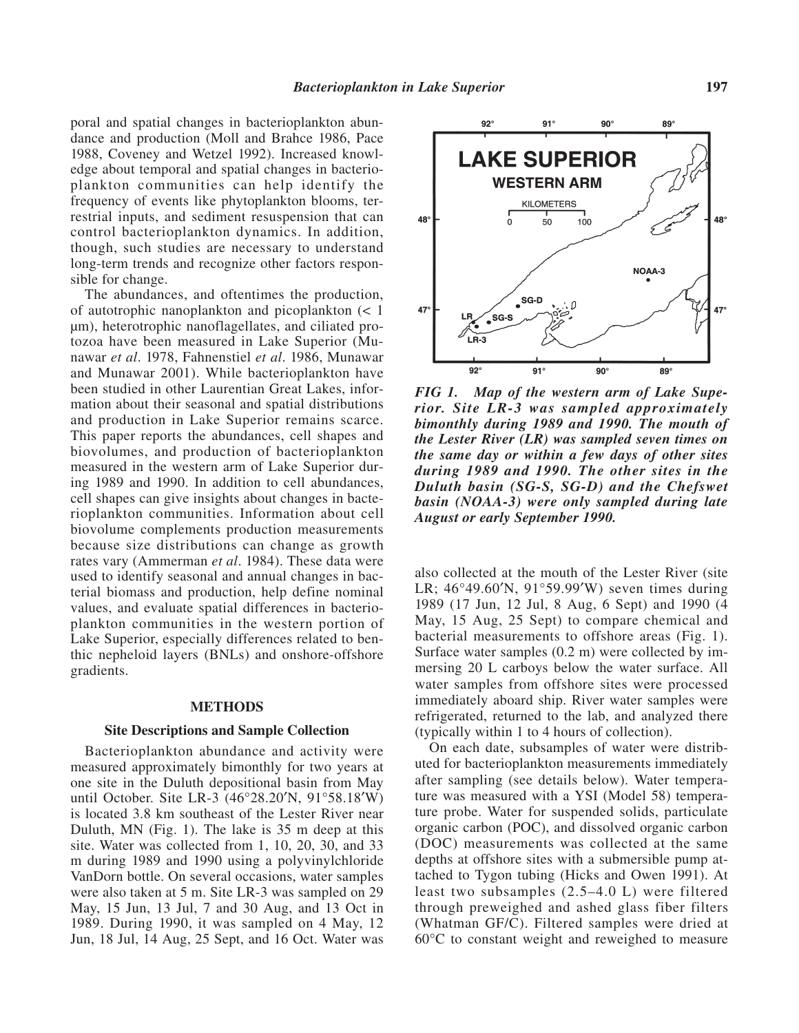poral and spatial changes in bacterioplankton abundance and production (Moll and Brahce 1986, Pace 1988, Coveney and Wetzel 1992). Increased knowledge about temporal and spatial changes in bacterioplankton communities can help identify the frequency of events like phytoplankton blooms, terrestrial inputs, and sediment resuspension that can control bacterioplankton dynamics. In addition, though, such studies are necessary to understand long-term trends and recognize other factors responsible for change.

The abundances, and oftentimes the production, of autotrophic nanoplankton and picoplankton (< 1 µm), heterotrophic nanoflagellates, and ciliated protozoa have been measured in Lake Superior (Munawar *et al*. 1978, Fahnenstiel *et al*. 1986, Munawar and Munawar 2001). While bacterioplankton have been studied in other Laurentian Great Lakes, information about their seasonal and spatial distributions and production in Lake Superior remains scarce. This paper reports the abundances, cell shapes and biovolumes, and production of bacterioplankton measured in the western arm of Lake Superior during 1989 and 1990. In addition to cell abundances, cell shapes can give insights about changes in bacterioplankton communities. Information about cell biovolume complements production measurements because size distributions can change as growth rates vary (Ammerman *et al*. 1984). These data were used to identify seasonal and annual changes in bacterial biomass and production, help define nominal values, and evaluate spatial differences in bacterioplankton communities in the western portion of Lake Superior, especially differences related to benthic nepheloid layers (BNLs) and onshore-offshore gradients.

#### **METHODS**

## **Site Descriptions and Sample Collection**

Bacterioplankton abundance and activity were measured approximately bimonthly for two years at one site in the Duluth depositional basin from May until October. Site LR-3 (46°28.20′N, 91°58.18′W) is located 3.8 km southeast of the Lester River near Duluth, MN (Fig. 1). The lake is 35 m deep at this site. Water was collected from 1, 10, 20, 30, and 33 m during 1989 and 1990 using a polyvinylchloride VanDorn bottle. On several occasions, water samples were also taken at 5 m. Site LR-3 was sampled on 29 May, 15 Jun, 13 Jul, 7 and 30 Aug, and 13 Oct in 1989. During 1990, it was sampled on 4 May, 12 Jun, 18 Jul, 14 Aug, 25 Sept, and 16 Oct. Water was



*FIG 1. Map of the western arm of Lake Superior. Site LR-3 was sampled approximately bimonthly during 1989 and 1990. The mouth of the Lester River (LR) was sampled seven times on the same day or within a few days of other sites during 1989 and 1990. The other sites in the Duluth basin (SG-S, SG-D) and the Chefswet basin (NOAA-3) were only sampled during late August or early September 1990.* 

also collected at the mouth of the Lester River (site LR; 46°49.60′N, 91°59.99′W) seven times during 1989 (17 Jun, 12 Jul, 8 Aug, 6 Sept) and 1990 (4 May, 15 Aug, 25 Sept) to compare chemical and bacterial measurements to offshore areas (Fig. 1). Surface water samples (0.2 m) were collected by immersing 20 L carboys below the water surface. All water samples from offshore sites were processed immediately aboard ship. River water samples were refrigerated, returned to the lab, and analyzed there (typically within 1 to 4 hours of collection).

On each date, subsamples of water were distributed for bacterioplankton measurements immediately after sampling (see details below). Water temperature was measured with a YSI (Model 58) temperature probe. Water for suspended solids, particulate organic carbon (POC), and dissolved organic carbon (DOC) measurements was collected at the same depths at offshore sites with a submersible pump attached to Tygon tubing (Hicks and Owen 1991). At least two subsamples (2.5–4.0 L) were filtered through preweighed and ashed glass fiber filters (Whatman GF/C). Filtered samples were dried at 60°C to constant weight and reweighed to measure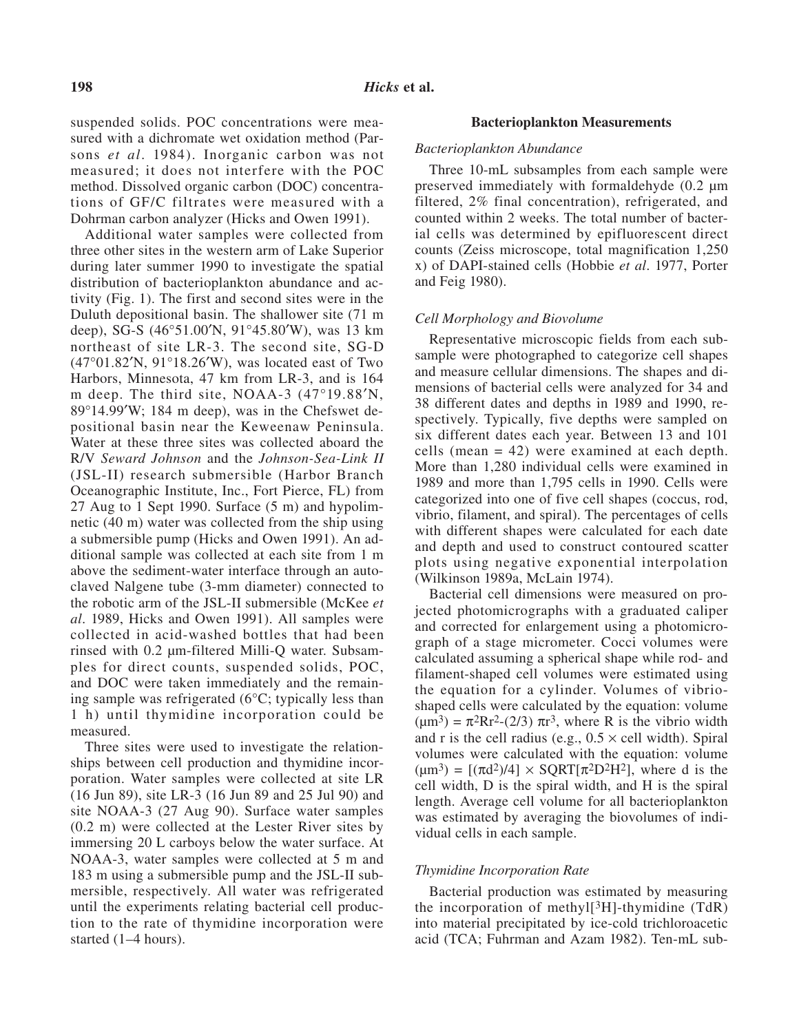suspended solids. POC concentrations were measured with a dichromate wet oxidation method (Parsons *et al*. 1984). Inorganic carbon was not measured; it does not interfere with the POC method. Dissolved organic carbon (DOC) concentrations of GF/C filtrates were measured with a Dohrman carbon analyzer (Hicks and Owen 1991).

Additional water samples were collected from three other sites in the western arm of Lake Superior during later summer 1990 to investigate the spatial distribution of bacterioplankton abundance and activity (Fig. 1). The first and second sites were in the Duluth depositional basin. The shallower site (71 m deep), SG-S (46°51.00′N, 91°45.80′W), was 13 km northeast of site LR-3. The second site, SG-D (47°01.82′N, 91°18.26′W), was located east of Two Harbors, Minnesota, 47 km from LR-3, and is 164 m deep. The third site, NOAA-3 (47°19.88′N, 89°14.99′W; 184 m deep), was in the Chefswet depositional basin near the Keweenaw Peninsula. Water at these three sites was collected aboard the R/V *Seward Johnson* and the *Johnson-Sea-Link II* (JSL-II) research submersible (Harbor Branch Oceanographic Institute, Inc., Fort Pierce, FL) from 27 Aug to 1 Sept 1990. Surface (5 m) and hypolimnetic (40 m) water was collected from the ship using a submersible pump (Hicks and Owen 1991). An additional sample was collected at each site from 1 m above the sediment-water interface through an autoclaved Nalgene tube (3-mm diameter) connected to the robotic arm of the JSL-II submersible (McKee *et al*. 1989, Hicks and Owen 1991). All samples were collected in acid-washed bottles that had been rinsed with 0.2 µm-filtered Milli-Q water. Subsamples for direct counts, suspended solids, POC, and DOC were taken immediately and the remaining sample was refrigerated (6°C; typically less than 1 h) until thymidine incorporation could be measured.

Three sites were used to investigate the relationships between cell production and thymidine incorporation. Water samples were collected at site LR (16 Jun 89), site LR-3 (16 Jun 89 and 25 Jul 90) and site NOAA-3 (27 Aug 90). Surface water samples (0.2 m) were collected at the Lester River sites by immersing 20 L carboys below the water surface. At NOAA-3, water samples were collected at 5 m and 183 m using a submersible pump and the JSL-II submersible, respectively. All water was refrigerated until the experiments relating bacterial cell production to the rate of thymidine incorporation were started (1–4 hours).

#### **Bacterioplankton Measurements**

#### *Bacterioplankton Abundance*

Three 10-mL subsamples from each sample were preserved immediately with formaldehyde (0.2 µm filtered, 2% final concentration), refrigerated, and counted within 2 weeks. The total number of bacterial cells was determined by epifluorescent direct counts (Zeiss microscope, total magnification 1,250 x) of DAPI-stained cells (Hobbie *et al*. 1977, Porter and Feig 1980).

#### *Cell Morphology and Biovolume*

Representative microscopic fields from each subsample were photographed to categorize cell shapes and measure cellular dimensions. The shapes and dimensions of bacterial cells were analyzed for 34 and 38 different dates and depths in 1989 and 1990, respectively. Typically, five depths were sampled on six different dates each year. Between 13 and 101 cells (mean = 42) were examined at each depth. More than 1,280 individual cells were examined in 1989 and more than 1,795 cells in 1990. Cells were categorized into one of five cell shapes (coccus, rod, vibrio, filament, and spiral). The percentages of cells with different shapes were calculated for each date and depth and used to construct contoured scatter plots using negative exponential interpolation (Wilkinson 1989a, McLain 1974).

Bacterial cell dimensions were measured on projected photomicrographs with a graduated caliper and corrected for enlargement using a photomicrograph of a stage micrometer. Cocci volumes were calculated assuming a spherical shape while rod- and filament-shaped cell volumes were estimated using the equation for a cylinder. Volumes of vibrioshaped cells were calculated by the equation: volume  $(\mu m^3) = \pi^2 Rr^2 - (2/3) \pi r^3$ , where R is the vibrio width and r is the cell radius (e.g.,  $0.5 \times$  cell width). Spiral volumes were calculated with the equation: volume  $(\mu m^3) = [(\pi d^2)/4] \times SQRT[\pi^2 D^2 H^2]$ , where d is the cell width, D is the spiral width, and H is the spiral length. Average cell volume for all bacterioplankton was estimated by averaging the biovolumes of individual cells in each sample.

#### *Thymidine Incorporation Rate*

Bacterial production was estimated by measuring the incorporation of methyl $[3H]$ -thymidine (TdR) into material precipitated by ice-cold trichloroacetic acid (TCA; Fuhrman and Azam 1982). Ten-mL sub-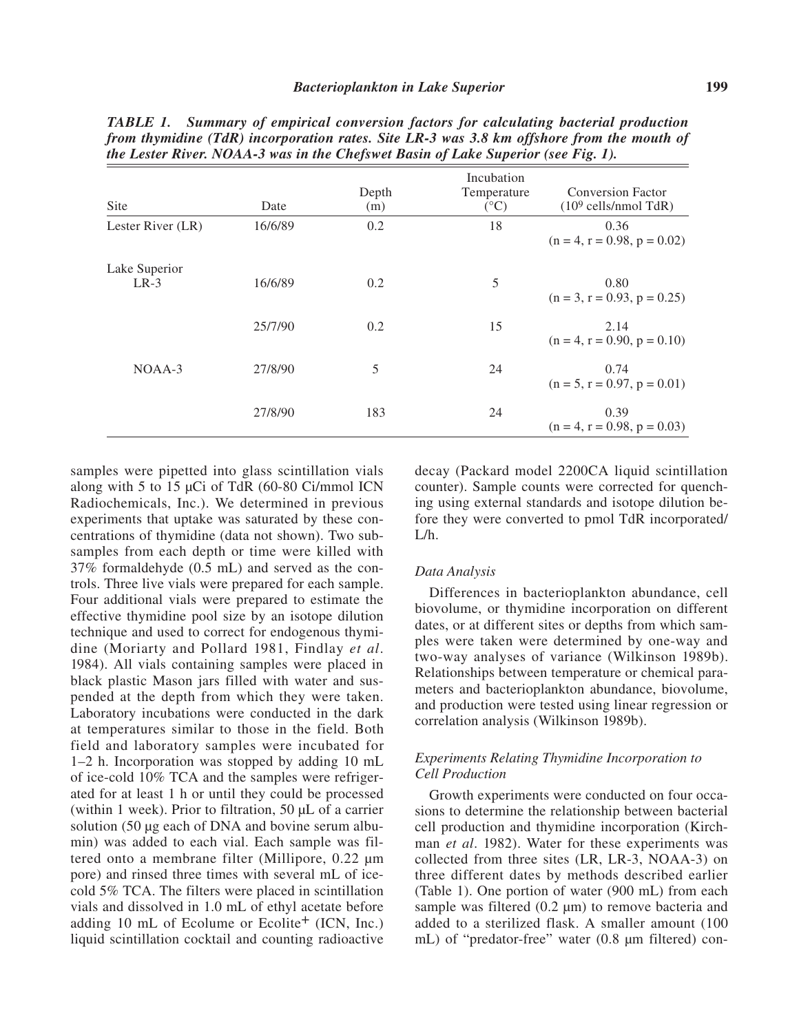| Site                    | Date    | Depth<br>(m) | Incubation<br>Temperature<br>$({}^{\circ}C)$ | <b>Conversion Factor</b><br>$(109$ cells/nmol TdR) |
|-------------------------|---------|--------------|----------------------------------------------|----------------------------------------------------|
| Lester River (LR)       | 16/6/89 | 0.2          | 18                                           | 0.36<br>$(n = 4, r = 0.98, p = 0.02)$              |
| Lake Superior<br>$LR-3$ | 16/6/89 | 0.2          | 5                                            | 0.80<br>$(n = 3, r = 0.93, p = 0.25)$              |
|                         | 25/7/90 | 0.2          | 15                                           | 2.14<br>$(n = 4, r = 0.90, p = 0.10)$              |
| $NOAA-3$                | 27/8/90 | 5            | 24                                           | 0.74<br>$(n = 5, r = 0.97, p = 0.01)$              |
|                         | 27/8/90 | 183          | 24                                           | 0.39<br>$(n = 4, r = 0.98, p = 0.03)$              |

*TABLE 1. Summary of empirical conversion factors for calculating bacterial production from thymidine (TdR) incorporation rates. Site LR-3 was 3.8 km offshore from the mouth of the Lester River. NOAA-3 was in the Chefswet Basin of Lake Superior (see Fig. 1).*

samples were pipetted into glass scintillation vials along with 5 to 15 µCi of TdR (60-80 Ci/mmol ICN Radiochemicals, Inc.). We determined in previous experiments that uptake was saturated by these concentrations of thymidine (data not shown). Two subsamples from each depth or time were killed with 37% formaldehyde (0.5 mL) and served as the controls. Three live vials were prepared for each sample. Four additional vials were prepared to estimate the effective thymidine pool size by an isotope dilution technique and used to correct for endogenous thymidine (Moriarty and Pollard 1981, Findlay *et al*. 1984). All vials containing samples were placed in black plastic Mason jars filled with water and suspended at the depth from which they were taken. Laboratory incubations were conducted in the dark at temperatures similar to those in the field. Both field and laboratory samples were incubated for 1–2 h. Incorporation was stopped by adding 10 mL of ice-cold 10% TCA and the samples were refrigerated for at least 1 h or until they could be processed (within 1 week). Prior to filtration, 50 µL of a carrier solution (50 µg each of DNA and bovine serum albumin) was added to each vial. Each sample was filtered onto a membrane filter (Millipore, 0.22 µm pore) and rinsed three times with several mL of icecold 5% TCA. The filters were placed in scintillation vials and dissolved in 1.0 mL of ethyl acetate before adding 10 mL of Ecolume or Ecolite $+$  (ICN, Inc.) liquid scintillation cocktail and counting radioactive

decay (Packard model 2200CA liquid scintillation counter). Sample counts were corrected for quenching using external standards and isotope dilution before they were converted to pmol TdR incorporated/  $L/h$ 

#### *Data Analysis*

Differences in bacterioplankton abundance, cell biovolume, or thymidine incorporation on different dates, or at different sites or depths from which samples were taken were determined by one-way and two-way analyses of variance (Wilkinson 1989b). Relationships between temperature or chemical parameters and bacterioplankton abundance, biovolume, and production were tested using linear regression or correlation analysis (Wilkinson 1989b).

## *Experiments Relating Thymidine Incorporation to Cell Production*

Growth experiments were conducted on four occasions to determine the relationship between bacterial cell production and thymidine incorporation (Kirchman *et al*. 1982). Water for these experiments was collected from three sites (LR, LR-3, NOAA-3) on three different dates by methods described earlier (Table 1). One portion of water (900 mL) from each sample was filtered  $(0.2 \mu m)$  to remove bacteria and added to a sterilized flask. A smaller amount (100 mL) of "predator-free" water (0.8 µm filtered) con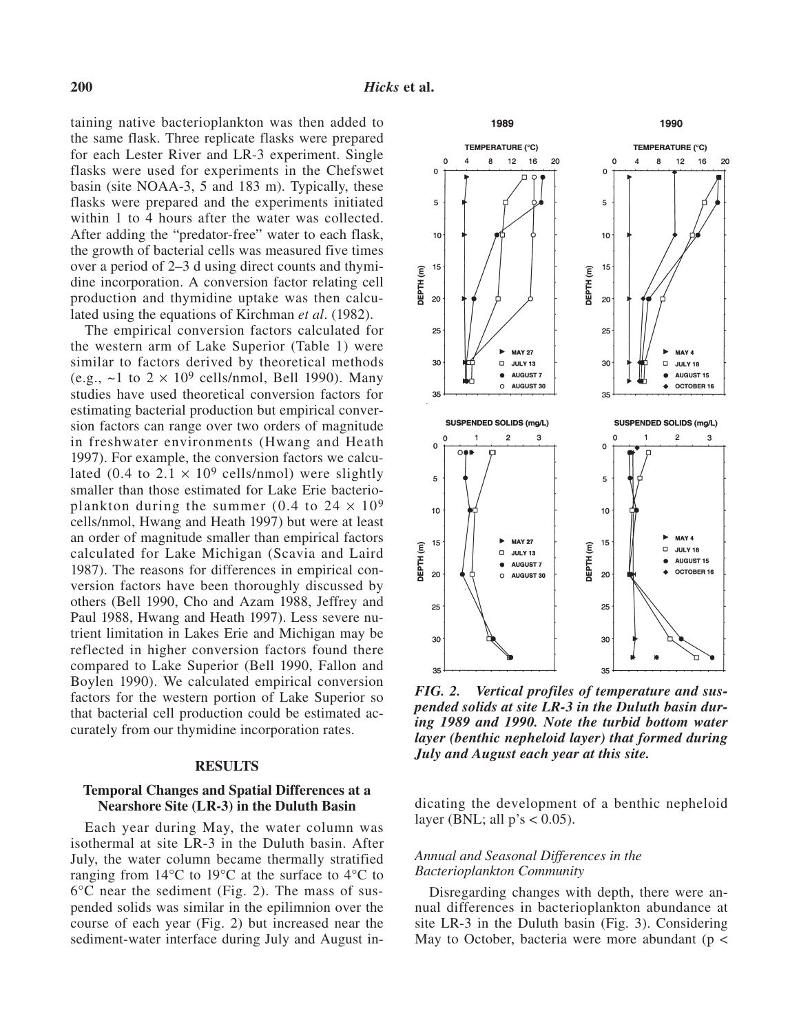taining native bacterioplankton was then added to the same flask. Three replicate flasks were prepared for each Lester River and LR-3 experiment. Single flasks were used for experiments in the Chefswet basin (site NOAA-3, 5 and 183 m). Typically, these flasks were prepared and the experiments initiated within 1 to 4 hours after the water was collected. After adding the "predator-free" water to each flask, the growth of bacterial cells was measured five times over a period of 2–3 d using direct counts and thymidine incorporation. A conversion factor relating cell production and thymidine uptake was then calculated using the equations of Kirchman *et al*. (1982).

The empirical conversion factors calculated for the western arm of Lake Superior (Table 1) were similar to factors derived by theoretical methods (e.g.,  $\sim$ 1 to 2  $\times$  10<sup>9</sup> cells/nmol, Bell 1990). Many studies have used theoretical conversion factors for estimating bacterial production but empirical conversion factors can range over two orders of magnitude in freshwater environments (Hwang and Heath 1997). For example, the conversion factors we calculated (0.4 to  $2.1 \times 10^9$  cells/nmol) were slightly smaller than those estimated for Lake Erie bacterioplankton during the summer (0.4 to  $24 \times 10^9$ ) cells/nmol, Hwang and Heath 1997) but were at least an order of magnitude smaller than empirical factors calculated for Lake Michigan (Scavia and Laird 1987). The reasons for differences in empirical conversion factors have been thoroughly discussed by others (Bell 1990, Cho and Azam 1988, Jeffrey and Paul 1988, Hwang and Heath 1997). Less severe nutrient limitation in Lakes Erie and Michigan may be reflected in higher conversion factors found there compared to Lake Superior (Bell 1990, Fallon and Boylen 1990). We calculated empirical conversion factors for the western portion of Lake Superior so that bacterial cell production could be estimated accurately from our thymidine incorporation rates.

#### **RESULTS**

### **Temporal Changes and Spatial Differences at a Nearshore Site (LR-3) in the Duluth Basin**

Each year during May, the water column was isothermal at site LR-3 in the Duluth basin. After July, the water column became thermally stratified ranging from  $14^{\circ}$ C to  $19^{\circ}$ C at the surface to  $4^{\circ}$ C to 6°C near the sediment (Fig. 2). The mass of suspended solids was similar in the epilimnion over the course of each year (Fig. 2) but increased near the sediment-water interface during July and August in-



*FIG. 2. Vertical profiles of temperature and suspended solids at site LR-3 in the Duluth basin during 1989 and 1990. Note the turbid bottom water layer (benthic nepheloid layer) that formed during July and August each year at this site.* 

dicating the development of a benthic nepheloid layer (BNL; all  $p's < 0.05$ ).

## *Annual and Seasonal Differences in the Bacterioplankton Community*

Disregarding changes with depth, there were annual differences in bacterioplankton abundance at site LR-3 in the Duluth basin (Fig. 3). Considering May to October, bacteria were more abundant ( $p <$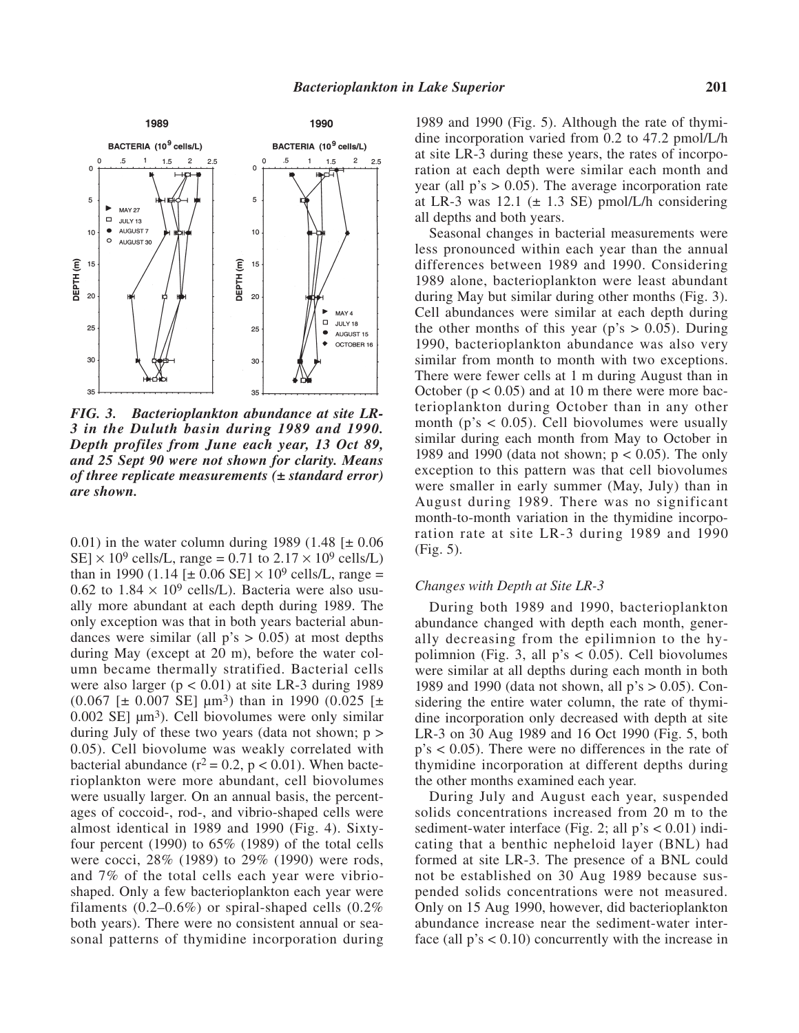

*FIG. 3. Bacterioplankton abundance at site LR-3 in the Duluth basin during 1989 and 1990. Depth profiles from June each year, 13 Oct 89, and 25 Sept 90 were not shown for clarity. Means of three replicate measurements (± standard error) are shown.*

0.01) in the water column during 1989 (1.48  $[\pm 0.06]$ SE]  $\times$  10<sup>9</sup> cells/L, range = 0.71 to 2.17  $\times$  10<sup>9</sup> cells/L) than in 1990 (1.14 [ $\pm$  0.06 SE]  $\times$  10<sup>9</sup> cells/L, range = 0.62 to  $1.84 \times 10^9$  cells/L). Bacteria were also usually more abundant at each depth during 1989. The only exception was that in both years bacterial abundances were similar (all  $p's > 0.05$ ) at most depths during May (except at 20 m), before the water column became thermally stratified. Bacterial cells were also larger ( $p < 0.01$ ) at site LR-3 during 1989  $(0.067 \leq 0.007 \leq \leq 1 \leq \mu m^3)$  than in 1990  $(0.025 \leq \pm 1)$ 0.002 SE]  $\mu$ m<sup>3</sup>). Cell biovolumes were only similar during July of these two years (data not shown; p > 0.05). Cell biovolume was weakly correlated with bacterial abundance ( $r^2 = 0.2$ ,  $p < 0.01$ ). When bacterioplankton were more abundant, cell biovolumes were usually larger. On an annual basis, the percentages of coccoid-, rod-, and vibrio-shaped cells were almost identical in 1989 and 1990 (Fig. 4). Sixtyfour percent (1990) to  $65\%$  (1989) of the total cells were cocci, 28% (1989) to 29% (1990) were rods, and 7% of the total cells each year were vibrioshaped. Only a few bacterioplankton each year were filaments  $(0.2-0.6\%)$  or spiral-shaped cells  $(0.2\%)$ both years). There were no consistent annual or seasonal patterns of thymidine incorporation during

1989 and 1990 (Fig. 5). Although the rate of thymidine incorporation varied from 0.2 to 47.2 pmol/L/h at site LR-3 during these years, the rates of incorporation at each depth were similar each month and year (all  $p$ 's  $> 0.05$ ). The average incorporation rate at LR-3 was  $12.1$  ( $\pm$  1.3 SE) pmol/L/h considering all depths and both years.

Seasonal changes in bacterial measurements were less pronounced within each year than the annual differences between 1989 and 1990. Considering 1989 alone, bacterioplankton were least abundant during May but similar during other months (Fig. 3). Cell abundances were similar at each depth during the other months of this year ( $p$ 's  $> 0.05$ ). During 1990, bacterioplankton abundance was also very similar from month to month with two exceptions. There were fewer cells at 1 m during August than in October ( $p < 0.05$ ) and at 10 m there were more bacterioplankton during October than in any other month ( $p$ 's < 0.05). Cell biovolumes were usually similar during each month from May to October in 1989 and 1990 (data not shown;  $p < 0.05$ ). The only exception to this pattern was that cell biovolumes were smaller in early summer (May, July) than in August during 1989. There was no significant month-to-month variation in the thymidine incorporation rate at site LR-3 during 1989 and 1990 (Fig. 5).

#### *Changes with Depth at Site LR-3*

During both 1989 and 1990, bacterioplankton abundance changed with depth each month, generally decreasing from the epilimnion to the hypolimnion (Fig. 3, all  $p's < 0.05$ ). Cell biovolumes were similar at all depths during each month in both 1989 and 1990 (data not shown, all p's > 0.05). Considering the entire water column, the rate of thymidine incorporation only decreased with depth at site LR-3 on 30 Aug 1989 and 16 Oct 1990 (Fig. 5, both p's < 0.05). There were no differences in the rate of thymidine incorporation at different depths during the other months examined each year.

During July and August each year, suspended solids concentrations increased from 20 m to the sediment-water interface (Fig. 2; all  $p's < 0.01$ ) indicating that a benthic nepheloid layer (BNL) had formed at site LR-3. The presence of a BNL could not be established on 30 Aug 1989 because suspended solids concentrations were not measured. Only on 15 Aug 1990, however, did bacterioplankton abundance increase near the sediment-water interface (all  $p's < 0.10$ ) concurrently with the increase in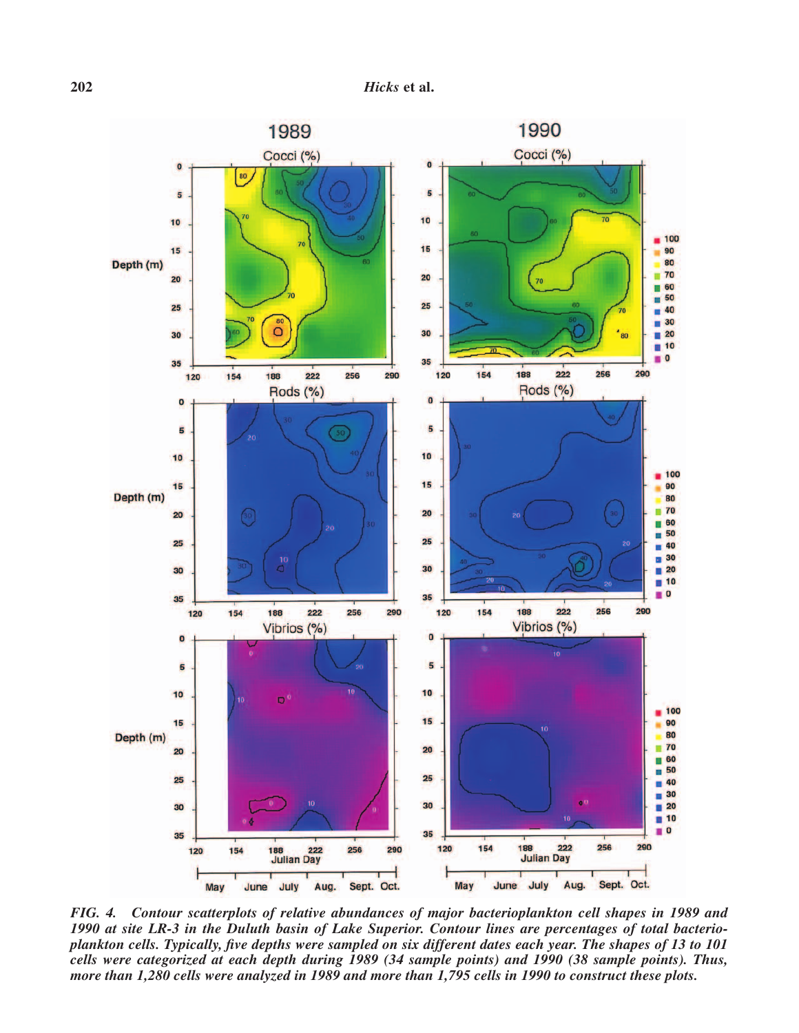

*FIG. 4. Contour scatterplots of relative abundances of major bacterioplankton cell shapes in 1989 and 1990 at site LR-3 in the Duluth basin of Lake Superior. Contour lines are percentages of total bacterioplankton cells. Typically, five depths were sampled on six different dates each year. The shapes of 13 to 101 cells were categorized at each depth during 1989 (34 sample points) and 1990 (38 sample points). Thus, more than 1,280 cells were analyzed in 1989 and more than 1,795 cells in 1990 to construct these plots.*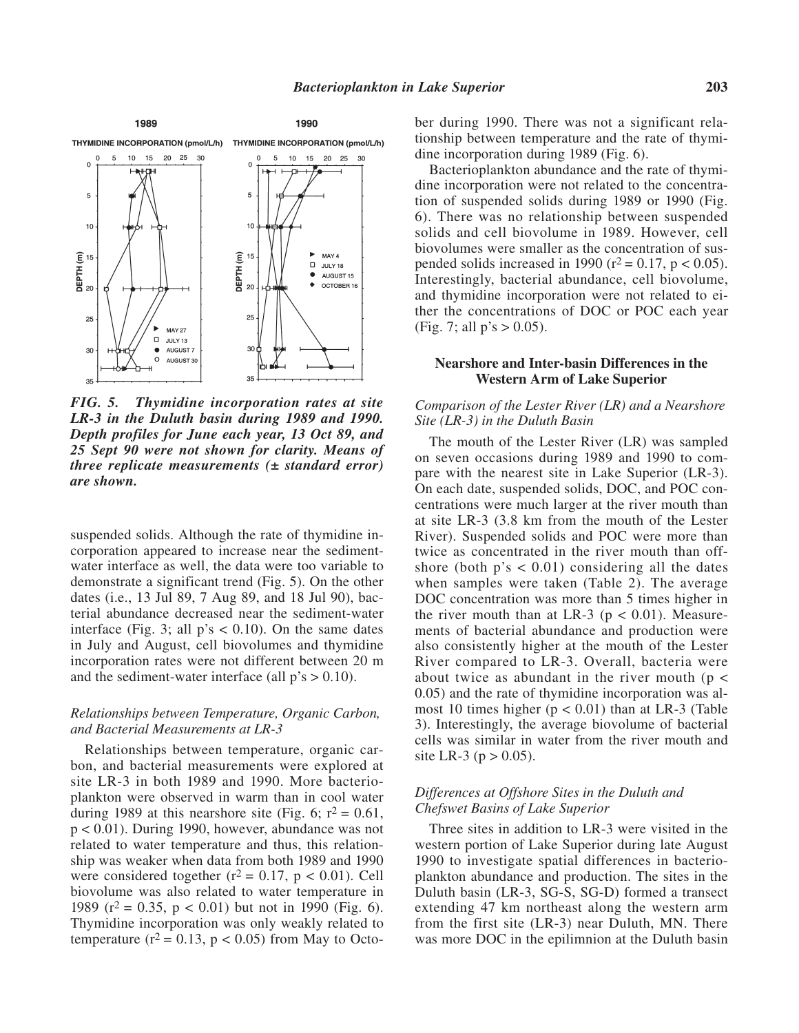

*FIG. 5. Thymidine incorporation rates at site LR-3 in the Duluth basin during 1989 and 1990. Depth profiles for June each year, 13 Oct 89, and 25 Sept 90 were not shown for clarity. Means of three replicate measurements (± standard error) are shown.*

suspended solids. Although the rate of thymidine incorporation appeared to increase near the sedimentwater interface as well, the data were too variable to demonstrate a significant trend (Fig. 5). On the other dates (i.e., 13 Jul 89, 7 Aug 89, and 18 Jul 90), bacterial abundance decreased near the sediment-water interface (Fig. 3; all  $p's < 0.10$ ). On the same dates in July and August, cell biovolumes and thymidine incorporation rates were not different between 20 m and the sediment-water interface (all  $p's > 0.10$ ).

## *Relationships between Temperature, Organic Carbon, and Bacterial Measurements at LR-3*

Relationships between temperature, organic carbon, and bacterial measurements were explored at site LR-3 in both 1989 and 1990. More bacterioplankton were observed in warm than in cool water during 1989 at this nearshore site (Fig. 6;  $r^2 = 0.61$ , p < 0.01). During 1990, however, abundance was not related to water temperature and thus, this relationship was weaker when data from both 1989 and 1990 were considered together  $(r^2 = 0.17, p < 0.01)$ . Cell biovolume was also related to water temperature in 1989 ( $r^2 = 0.35$ ,  $p < 0.01$ ) but not in 1990 (Fig. 6). Thymidine incorporation was only weakly related to temperature ( $r^2$  = 0.13,  $p$  < 0.05) from May to October during 1990. There was not a significant relationship between temperature and the rate of thymidine incorporation during 1989 (Fig. 6).

Bacterioplankton abundance and the rate of thymidine incorporation were not related to the concentration of suspended solids during 1989 or 1990 (Fig. 6). There was no relationship between suspended solids and cell biovolume in 1989. However, cell biovolumes were smaller as the concentration of suspended solids increased in 1990 ( $r^2$  = 0.17,  $p$  < 0.05). Interestingly, bacterial abundance, cell biovolume, and thymidine incorporation were not related to either the concentrations of DOC or POC each year (Fig. 7; all  $p's > 0.05$ ).

#### **Nearshore and Inter-basin Differences in the Western Arm of Lake Superior**

## *Comparison of the Lester River (LR) and a Nearshore Site (LR-3) in the Duluth Basin*

The mouth of the Lester River (LR) was sampled on seven occasions during 1989 and 1990 to compare with the nearest site in Lake Superior (LR-3). On each date, suspended solids, DOC, and POC concentrations were much larger at the river mouth than at site LR-3 (3.8 km from the mouth of the Lester River). Suspended solids and POC were more than twice as concentrated in the river mouth than offshore (both  $p's < 0.01$ ) considering all the dates when samples were taken (Table 2). The average DOC concentration was more than 5 times higher in the river mouth than at LR-3 ( $p < 0.01$ ). Measurements of bacterial abundance and production were also consistently higher at the mouth of the Lester River compared to LR-3. Overall, bacteria were about twice as abundant in the river mouth ( $p \le$ 0.05) and the rate of thymidine incorporation was almost 10 times higher ( $p < 0.01$ ) than at LR-3 (Table 3). Interestingly, the average biovolume of bacterial cells was similar in water from the river mouth and site LR-3 ( $p > 0.05$ ).

## *Differences at Offshore Sites in the Duluth and Chefswet Basins of Lake Superior*

Three sites in addition to LR-3 were visited in the western portion of Lake Superior during late August 1990 to investigate spatial differences in bacterioplankton abundance and production. The sites in the Duluth basin (LR-3, SG-S, SG-D) formed a transect extending 47 km northeast along the western arm from the first site (LR-3) near Duluth, MN. There was more DOC in the epilimnion at the Duluth basin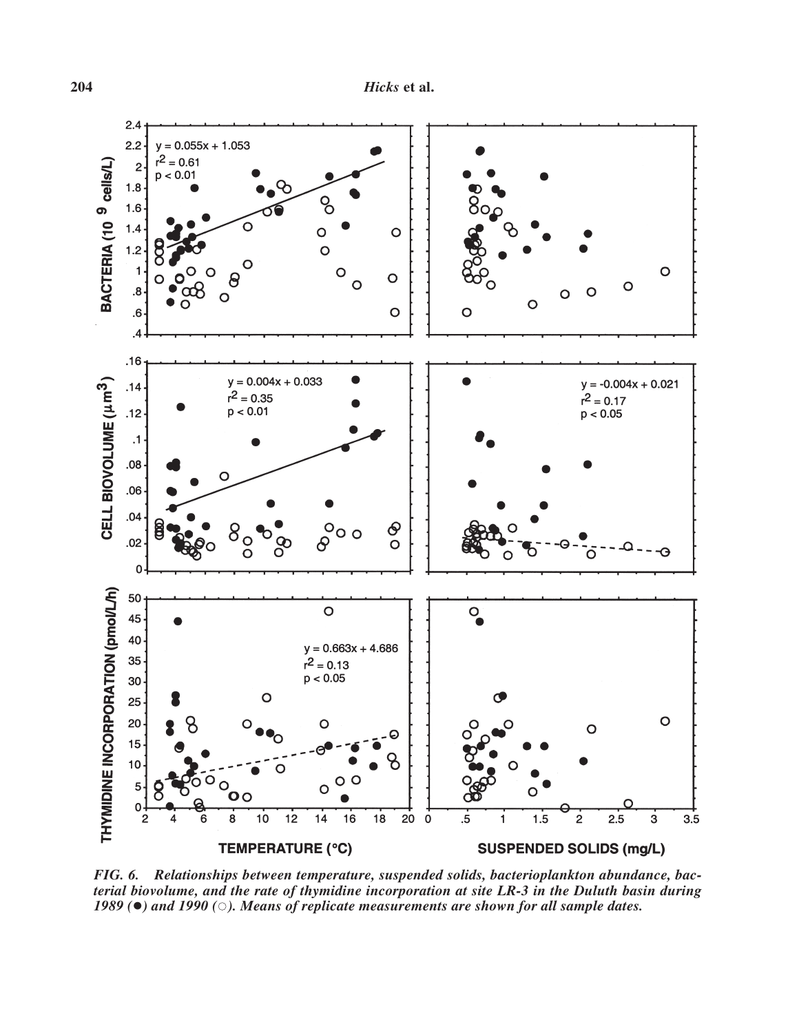

*FIG. 6. Relationships between temperature, suspended solids, bacterioplankton abundance, bacterial biovolume, and the rate of thymidine incorporation at site LR-3 in the Duluth basin during* 1989 ( $\bullet$ ) and 1990 ( $\circ$ ). Means of replicate measurements are shown for all sample dates.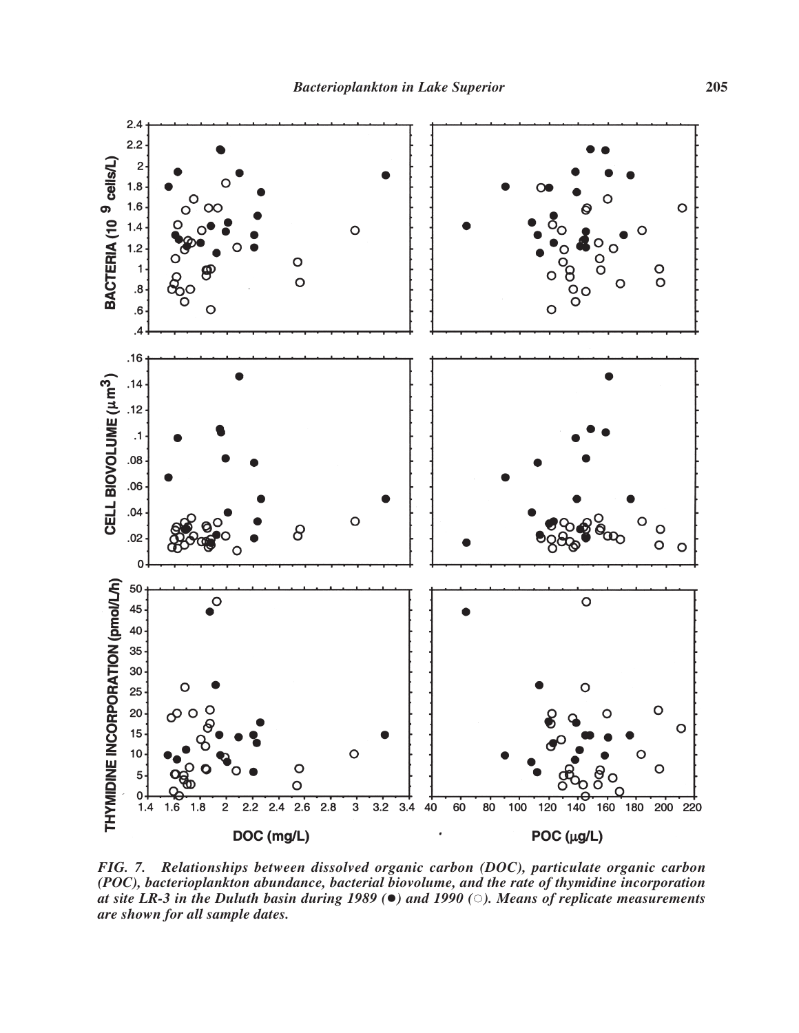

*FIG. 7. Relationships between dissolved organic carbon (DOC), particulate organic carbon (POC), bacterioplankton abundance, bacterial biovolume, and the rate of thymidine incorporation at site LR-3 in the Duluth basin during 1989* ( $\bullet$ ) *and 1990* ( $\circ$ )*. Means of replicate measurements are shown for all sample dates.*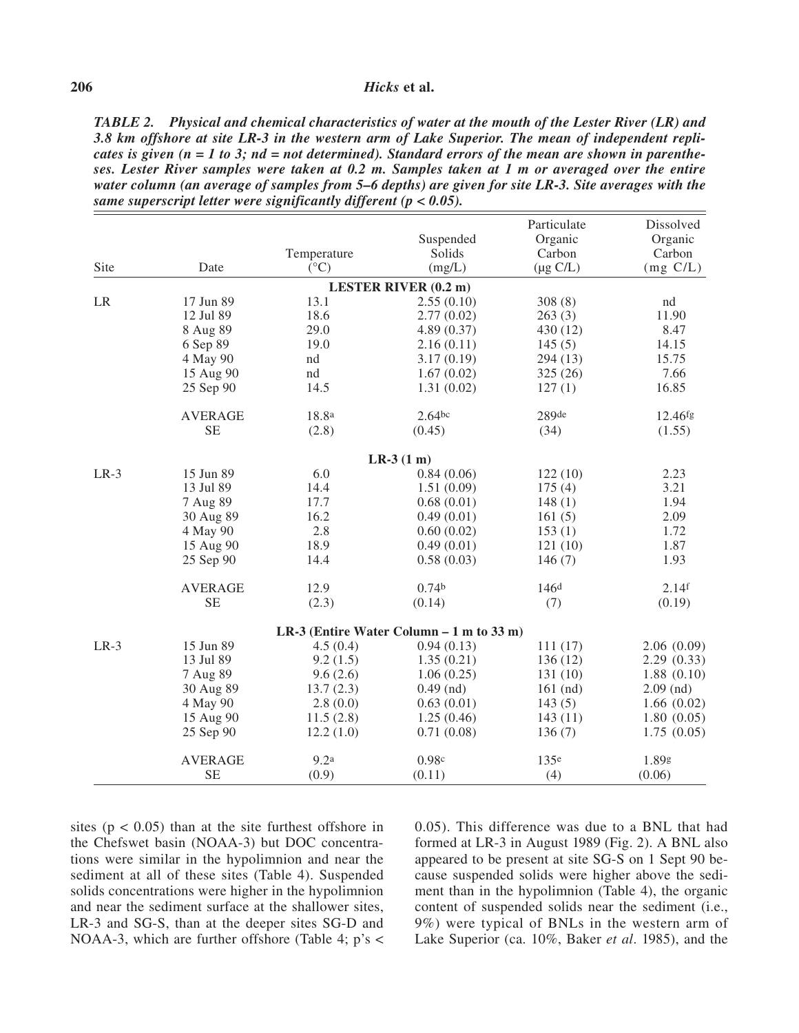## **206** *Hicks* **et al.**

*TABLE 2. Physical and chemical characteristics of water at the mouth of the Lester River (LR) and 3.8 km offshore at site LR-3 in the western arm of Lake Superior. The mean of independent replicates is given (n = 1 to 3; nd = not determined). Standard errors of the mean are shown in parentheses. Lester River samples were taken at 0.2 m. Samples taken at 1 m or averaged over the entire water column (an average of samples from 5–6 depths) are given for site LR-3. Site averages with the same superscript letter were significantly different (p < 0.05).*

|        |                |                  |                                           | Particulate      | Dissolved         |
|--------|----------------|------------------|-------------------------------------------|------------------|-------------------|
|        |                |                  | Suspended                                 | Organic          | Organic           |
|        |                | Temperature      | Solids                                    | Carbon           | Carbon            |
| Site   | Date           | $({}^{\circ}C)$  | (mg/L)                                    | $(\mu g C/L)$    | $(mg \, C/L)$     |
|        |                |                  | <b>LESTER RIVER (0.2 m)</b>               |                  |                   |
| LR     | 17 Jun 89      | 13.1             | 2.55(0.10)                                | 308(8)           | nd                |
|        | 12 Jul 89      | 18.6             | 2.77(0.02)                                | 263(3)           | 11.90             |
|        | 8 Aug 89       | 29.0             | 4.89(0.37)                                | 430 (12)         | 8.47              |
|        | 6 Sep 89       | 19.0             | 2.16(0.11)                                | 145(5)           | 14.15             |
|        | 4 May 90       | nd               | 3.17(0.19)                                | 294 (13)         | 15.75             |
|        | 15 Aug 90      | nd               | 1.67(0.02)                                | 325 (26)         | 7.66              |
|        | 25 Sep 90      | 14.5             | 1.31(0.02)                                | 127(1)           | 16.85             |
|        | <b>AVERAGE</b> | 18.8ª            | $2.64$ bc                                 | 289de            | $12.46$ fg        |
|        | <b>SE</b>      | (2.8)            | (0.45)                                    | (34)             | (1.55)            |
|        |                |                  | $LR-3(1 m)$                               |                  |                   |
| $LR-3$ | 15 Jun 89      | 6.0              | 0.84(0.06)                                | 122(10)          | 2.23              |
|        | 13 Jul 89      | 14.4             | 1.51(0.09)                                | 175(4)           | 3.21              |
|        | 7 Aug 89       | 17.7             | 0.68(0.01)                                | 148(1)           | 1.94              |
|        | 30 Aug 89      | 16.2             | 0.49(0.01)                                | 161(5)           | 2.09              |
|        | 4 May 90       | 2.8              | 0.60(0.02)                                | 153(1)           | 1.72              |
|        | 15 Aug 90      | 18.9             | 0.49(0.01)                                | 121(10)          | 1.87              |
|        | 25 Sep 90      | 14.4             | 0.58(0.03)                                | 146(7)           | 1.93              |
|        | <b>AVERAGE</b> | 12.9             | 0.74 <sup>b</sup>                         | 146 <sup>d</sup> | 2.14 <sup>f</sup> |
|        | <b>SE</b>      | (2.3)            | (0.14)                                    | (7)              | (0.19)            |
|        |                |                  | LR-3 (Entire Water Column $-1$ m to 33 m) |                  |                   |
| $LR-3$ | 15 Jun 89      | 4.5(0.4)         | 0.94(0.13)                                | 111(17)          | 2.06(0.09)        |
|        | 13 Jul 89      | 9.2(1.5)         | 1.35(0.21)                                | 136(12)          | 2.29(0.33)        |
|        | 7 Aug 89       | 9.6(2.6)         | 1.06(0.25)                                | 131 (10)         | 1.88(0.10)        |
|        | 30 Aug 89      | 13.7(2.3)        | $0.49$ (nd)                               | $161$ (nd)       | $2.09$ (nd)       |
|        | 4 May 90       | 2.8(0.0)         | 0.63(0.01)                                | 143(5)           | 1.66(0.02)        |
|        | 15 Aug 90      | 11.5(2.8)        | 1.25(0.46)                                | 143(11)          | 1.80(0.05)        |
|        | 25 Sep 90      | 12.2(1.0)        | 0.71(0.08)                                | 136(7)           | 1.75(0.05)        |
|        | <b>AVERAGE</b> | 9.2 <sup>a</sup> | 0.98c                                     | 135 <sup>e</sup> | 1.89g             |
|        | <b>SE</b>      | (0.9)            | (0.11)                                    | (4)              | (0.06)            |

sites ( $p < 0.05$ ) than at the site furthest offshore in the Chefswet basin (NOAA-3) but DOC concentrations were similar in the hypolimnion and near the sediment at all of these sites (Table 4). Suspended solids concentrations were higher in the hypolimnion and near the sediment surface at the shallower sites, LR-3 and SG-S, than at the deeper sites SG-D and NOAA-3, which are further offshore (Table 4; p's < 0.05). This difference was due to a BNL that had formed at LR-3 in August 1989 (Fig. 2). A BNL also appeared to be present at site SG-S on 1 Sept 90 because suspended solids were higher above the sediment than in the hypolimnion (Table 4), the organic content of suspended solids near the sediment (i.e., 9%) were typical of BNLs in the western arm of Lake Superior (ca. 10%, Baker *et al*. 1985), and the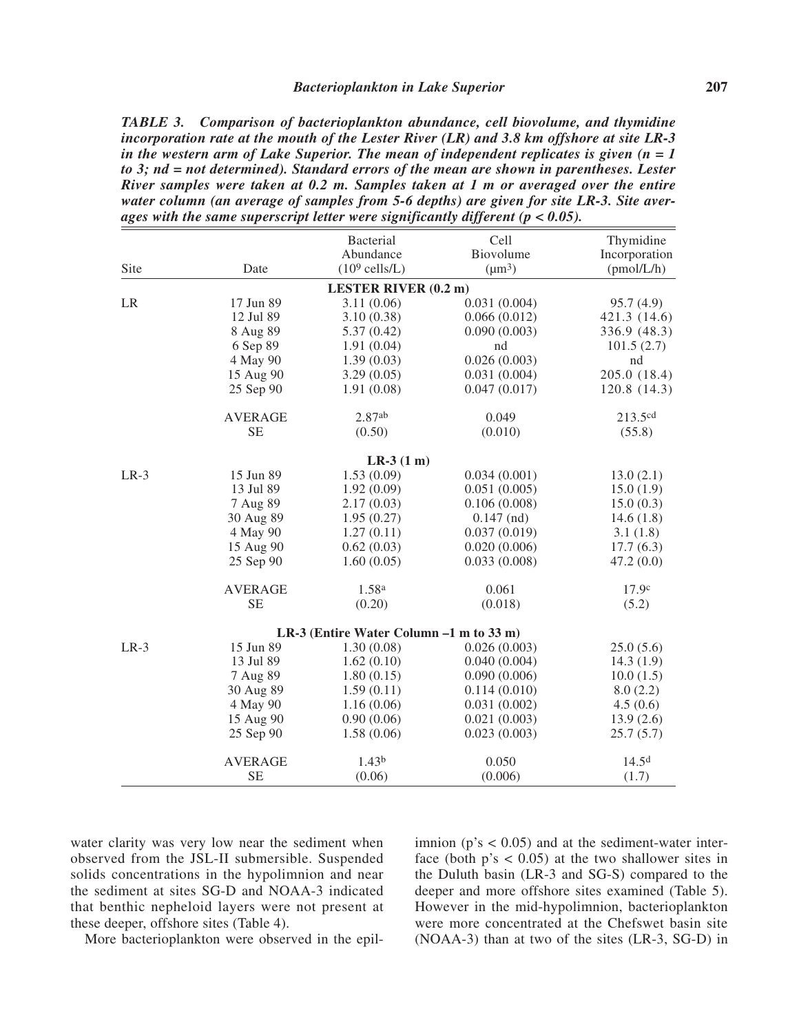*TABLE 3. Comparison of bacterioplankton abundance, cell biovolume, and thymidine incorporation rate at the mouth of the Lester River (LR) and 3.8 km offshore at site LR-3 in the western arm of Lake Superior. The mean of independent replicates is given (n = 1 to 3; nd = not determined). Standard errors of the mean are shown in parentheses. Lester River samples were taken at 0.2 m. Samples taken at 1 m or averaged over the entire water column (an average of samples from 5-6 depths) are given for site LR-3. Site averages with the same superscript letter were significantly different (p < 0.05).*

|        |                | <b>Bacterial</b>                        | Cell         | Thymidine         |
|--------|----------------|-----------------------------------------|--------------|-------------------|
|        |                | Abundance                               | Biovolume    | Incorporation     |
| Site   | Date           | $(10^9 \text{ cells/L})$                | $(\mu m^3)$  | (pmol/L/h)        |
|        |                | <b>LESTER RIVER (0.2 m)</b>             |              |                   |
| LR     | 17 Jun 89      | 3.11(0.06)                              | 0.031(0.004) | 95.7(4.9)         |
|        | 12 Jul 89      | 3.10(0.38)                              | 0.066(0.012) | 421.3 (14.6)      |
|        | 8 Aug 89       | 5.37(0.42)                              | 0.090(0.003) | 336.9 (48.3)      |
|        | 6 Sep 89       | 1.91(0.04)                              | nd           | 101.5(2.7)        |
|        | 4 May 90       | 1.39(0.03)                              | 0.026(0.003) | nd                |
|        | 15 Aug 90      | 3.29(0.05)                              | 0.031(0.004) | 205.0 (18.4)      |
|        | 25 Sep 90      | 1.91(0.08)                              | 0.047(0.017) | 120.8 (14.3)      |
|        | <b>AVERAGE</b> | 2.87ab                                  | 0.049        | 213.5cd           |
|        | <b>SE</b>      | (0.50)                                  | (0.010)      | (55.8)            |
|        |                | $LR-3(1 m)$                             |              |                   |
| $LR-3$ | 15 Jun 89      | 1.53(0.09)                              | 0.034(0.001) | 13.0(2.1)         |
|        | 13 Jul 89      | 1.92(0.09)                              | 0.051(0.005) | 15.0(1.9)         |
|        | 7 Aug 89       | 2.17(0.03)                              | 0.106(0.008) | 15.0(0.3)         |
|        | 30 Aug 89      | 1.95(0.27)                              | $0.147$ (nd) | 14.6(1.8)         |
|        | 4 May 90       | 1.27(0.11)                              | 0.037(0.019) | 3.1(1.8)          |
|        | 15 Aug 90      | 0.62(0.03)                              | 0.020(0.006) | 17.7(6.3)         |
|        | 25 Sep 90      | 1.60(0.05)                              | 0.033(0.008) | 47.2(0.0)         |
|        | <b>AVERAGE</b> | 1.58 <sup>a</sup>                       | 0.061        | 17.9c             |
|        | <b>SE</b>      | (0.20)                                  | (0.018)      | (5.2)             |
|        |                | LR-3 (Entire Water Column -1 m to 33 m) |              |                   |
| $LR-3$ | 15 Jun 89      | 1.30(0.08)                              | 0.026(0.003) | 25.0(5.6)         |
|        | 13 Jul 89      | 1.62(0.10)                              | 0.040(0.004) | 14.3(1.9)         |
|        | 7 Aug 89       | 1.80(0.15)                              | 0.090(0.006) | 10.0(1.5)         |
|        | 30 Aug 89      | 1.59(0.11)                              | 0.114(0.010) | 8.0(2.2)          |
|        | 4 May 90       | 1.16(0.06)                              | 0.031(0.002) | 4.5(0.6)          |
|        | 15 Aug 90      | 0.90(0.06)                              | 0.021(0.003) | 13.9(2.6)         |
|        | 25 Sep 90      | 1.58(0.06)                              | 0.023(0.003) | 25.7(5.7)         |
|        | <b>AVERAGE</b> | 1.43 <sup>b</sup>                       | 0.050        | 14.5 <sup>d</sup> |
|        | <b>SE</b>      | (0.06)                                  | (0.006)      | (1.7)             |

water clarity was very low near the sediment when observed from the JSL-II submersible. Suspended solids concentrations in the hypolimnion and near the sediment at sites SG-D and NOAA-3 indicated that benthic nepheloid layers were not present at these deeper, offshore sites (Table 4).

More bacterioplankton were observed in the epil-

imnion ( $p$ 's < 0.05) and at the sediment-water interface (both  $p's < 0.05$ ) at the two shallower sites in the Duluth basin (LR-3 and SG-S) compared to the deeper and more offshore sites examined (Table 5). However in the mid-hypolimnion, bacterioplankton were more concentrated at the Chefswet basin site (NOAA-3) than at two of the sites (LR-3, SG-D) in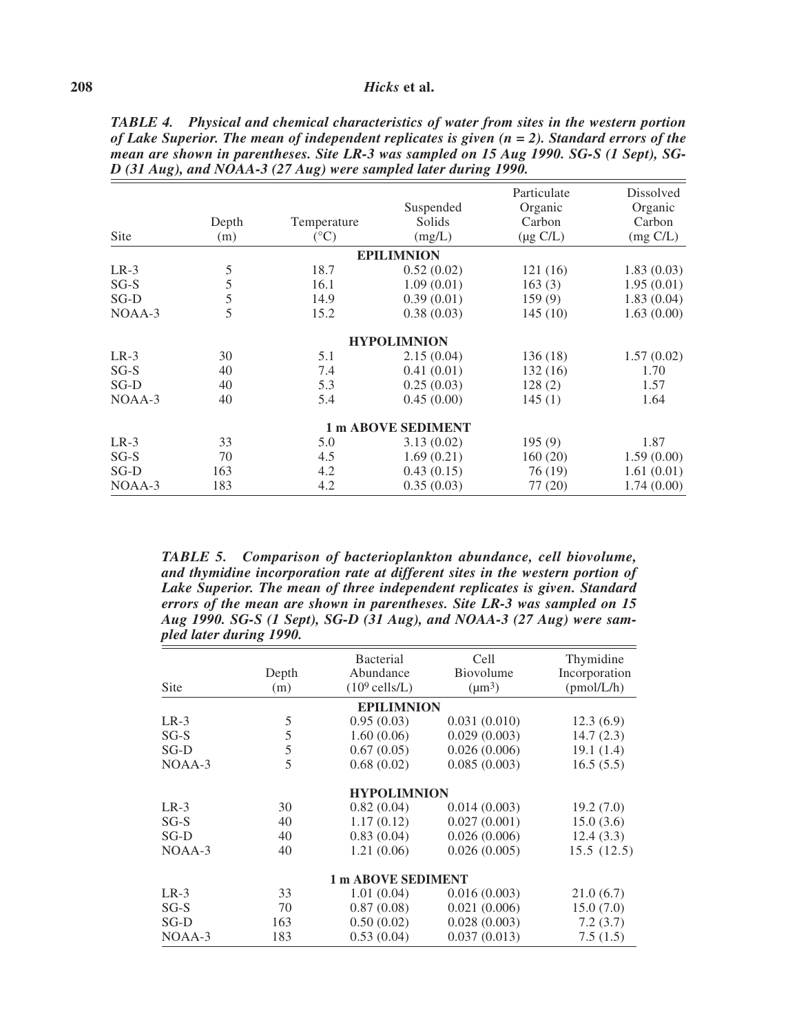### **208** *Hicks* **et al.**

|                    |       |              |                    | Particulate   | Dissolved  |  |  |
|--------------------|-------|--------------|--------------------|---------------|------------|--|--|
|                    |       |              | Suspended          | Organic       | Organic    |  |  |
|                    | Depth | Temperature  | Solids             | Carbon        | Carbon     |  |  |
| Site               | (m)   | $(^\circ C)$ | (mg/L)             | $(\mu g C/L)$ | (mg C/L)   |  |  |
|                    |       |              | <b>EPILIMNION</b>  |               |            |  |  |
| $LR-3$             | 5     | 18.7         | 0.52(0.02)         | 121(16)       | 1.83(0.03) |  |  |
| $SG-S$             | 5     | 16.1         | 1.09(0.01)         | 163(3)        | 1.95(0.01) |  |  |
| $SG-D$             | 5     | 14.9         | 0.39(0.01)         | 159(9)        | 1.83(0.04) |  |  |
| NOAA-3             | 5     | 15.2         | 0.38(0.03)         | 145(10)       | 1.63(0.00) |  |  |
|                    |       |              | <b>HYPOLIMNION</b> |               |            |  |  |
| $LR-3$             | 30    | 5.1          | 2.15(0.04)         | 136 (18)      | 1.57(0.02) |  |  |
| $SG-S$             | 40    | 7.4          | 0.41(0.01)         | 132(16)       | 1.70       |  |  |
| SG-D               | 40    | 5.3          | 0.25(0.03)         | 128(2)        | 1.57       |  |  |
| $NOAA-3$           | 40    | 5.4          | 0.45(0.00)         | 145(1)        | 1.64       |  |  |
| 1 m ABOVE SEDIMENT |       |              |                    |               |            |  |  |
| $LR-3$             | 33    | 5.0          | 3.13(0.02)         | 195(9)        | 1.87       |  |  |
| $SG-S$             | 70    | 4.5          | 1.69(0.21)         | 160(20)       | 1.59(0.00) |  |  |
| $SG-D$             | 163   | 4.2          | 0.43(0.15)         | 76 (19)       | 1.61(0.01) |  |  |
| NOAA-3             | 183   | 4.2          | 0.35(0.03)         | 77 (20)       | 1.74(0.00) |  |  |

*TABLE 4. Physical and chemical characteristics of water from sites in the western portion of Lake Superior. The mean of independent replicates is given (n = 2). Standard errors of the mean are shown in parentheses. Site LR-3 was sampled on 15 Aug 1990. SG-S (1 Sept), SG-D (31 Aug), and NOAA-3 (27 Aug) were sampled later during 1990.* 

*TABLE 5. Comparison of bacterioplankton abundance, cell biovolume, and thymidine incorporation rate at different sites in the western portion of Lake Superior. The mean of three independent replicates is given. Standard errors of the mean are shown in parentheses. Site LR-3 was sampled on 15 Aug 1990. SG-S (1 Sept), SG-D (31 Aug), and NOAA-3 (27 Aug) were sampled later during 1990.* 

| <b>Site</b> | Depth<br>(m) | <b>Bacterial</b><br>Abundance<br>$(10^9 \text{ cells/L})$ | Cell<br>Biovolume<br>$(\mu m^3)$ | Thymidine<br>Incorporation<br>(pmol/L/h) |
|-------------|--------------|-----------------------------------------------------------|----------------------------------|------------------------------------------|
|             |              | <b>EPILIMNION</b>                                         |                                  |                                          |
| $LR-3$      | 5            | 0.95(0.03)                                                | 0.031(0.010)                     | 12.3(6.9)                                |
| $SG-S$      | 5            | 1.60(0.06)                                                | 0.029(0.003)                     | 14.7(2.3)                                |
| SG-D        | 5            | 0.67(0.05)                                                | 0.026(0.006)                     | 19.1(1.4)                                |
| $NOAA-3$    | 5            | 0.68(0.02)                                                | 0.085(0.003)                     | 16.5(5.5)                                |
|             |              | <b>HYPOLIMNION</b>                                        |                                  |                                          |
| $LR-3$      | 30           | 0.82(0.04)                                                | 0.014(0.003)                     | 19.2(7.0)                                |
| $SG-S$      | 40           | 1.17(0.12)                                                | 0.027(0.001)                     | 15.0(3.6)                                |
| $SG-D$      | 40           | 0.83(0.04)                                                | 0.026(0.006)                     | 12.4(3.3)                                |
| $NOAA-3$    | 40           | 1.21(0.06)                                                | 0.026(0.005)                     | 15.5(12.5)                               |
|             |              | <b>1 m ABOVE SEDIMENT</b>                                 |                                  |                                          |
| $LR-3$      | 33           | 1.01(0.04)                                                | 0.016(0.003)                     | 21.0(6.7)                                |
| $SG-S$      | 70           | 0.87(0.08)                                                | 0.021(0.006)                     | 15.0(7.0)                                |
| SG-D        | 163          | 0.50(0.02)                                                | 0.028(0.003)                     | 7.2(3.7)                                 |
| $NOAA-3$    | 183          | 0.53(0.04)                                                | 0.037(0.013)                     | 7.5(1.5)                                 |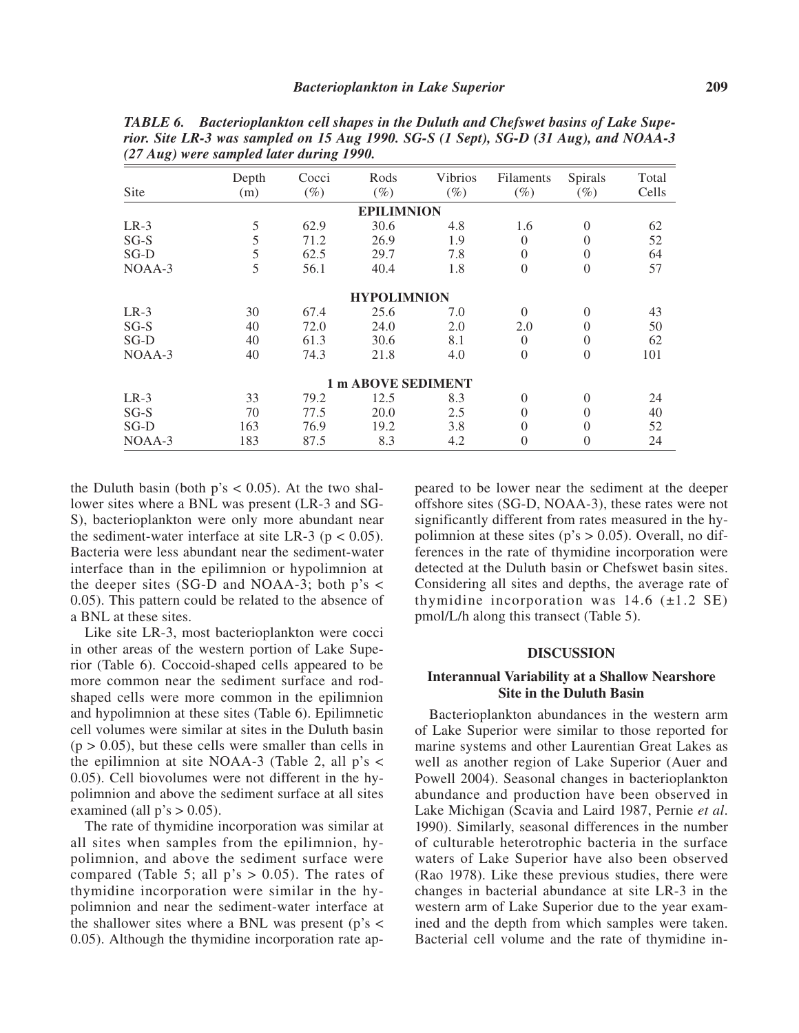| $\tilde{\phantom{a}}$ |       |        |                           |         |                |          |       |
|-----------------------|-------|--------|---------------------------|---------|----------------|----------|-------|
|                       | Depth | Cocci  | Rods                      | Vibrios | Filaments      | Spirals  | Total |
| <b>Site</b>           | (m)   | $(\%)$ | $(\%)$                    | $(\%)$  | $(\%)$         | $(\%)$   | Cells |
|                       |       |        | <b>EPILIMNION</b>         |         |                |          |       |
| $LR-3$                | 5     | 62.9   | 30.6                      | 4.8     | 1.6            | $\Omega$ | 62    |
| $SG-S$                | 5     | 71.2   | 26.9                      | 1.9     | $\Omega$       | $\Omega$ | 52    |
| SG-D                  | 5     | 62.5   | 29.7                      | 7.8     | $\overline{0}$ | $\Omega$ | 64    |
| $NOAA-3$              | 5     | 56.1   | 40.4                      | 1.8     | $\overline{0}$ | $\Omega$ | 57    |
|                       |       |        | <b>HYPOLIMNION</b>        |         |                |          |       |
| $LR-3$                | 30    | 67.4   | 25.6                      | 7.0     | $\theta$       | $\Omega$ | 43    |
| $SG-S$                | 40    | 72.0   | 24.0                      | 2.0     | 2.0            | $\Omega$ | 50    |
| SG-D                  | 40    | 61.3   | 30.6                      | 8.1     | $\theta$       | $\Omega$ | 62    |
| $NOAA-3$              | 40    | 74.3   | 21.8                      | 4.0     | $\overline{0}$ | $\Omega$ | 101   |
|                       |       |        | <b>1 m ABOVE SEDIMENT</b> |         |                |          |       |
| $LR-3$                | 33    | 79.2   | 12.5                      | 8.3     | $\overline{0}$ | $\Omega$ | 24    |
| $SG-S$                | 70    | 77.5   | 20.0                      | 2.5     | $\theta$       | $\Omega$ | 40    |
| $SG-D$                | 163   | 76.9   | 19.2                      | 3.8     | $\overline{0}$ | $\Omega$ | 52    |
| NOAA-3                | 183   | 87.5   | 8.3                       | 4.2     | $\overline{0}$ | $\Omega$ | 24    |

*TABLE 6. Bacterioplankton cell shapes in the Duluth and Chefswet basins of Lake Superior. Site LR-3 was sampled on 15 Aug 1990. SG-S (1 Sept), SG-D (31 Aug), and NOAA-3 (27 Aug) were sampled later during 1990.* 

the Duluth basin (both  $p's < 0.05$ ). At the two shallower sites where a BNL was present (LR-3 and SG-S), bacterioplankton were only more abundant near the sediment-water interface at site LR-3 ( $p < 0.05$ ). Bacteria were less abundant near the sediment-water interface than in the epilimnion or hypolimnion at the deeper sites (SG-D and NOAA-3; both  $p's <$ 0.05). This pattern could be related to the absence of a BNL at these sites.

Like site LR-3, most bacterioplankton were cocci in other areas of the western portion of Lake Superior (Table 6). Coccoid-shaped cells appeared to be more common near the sediment surface and rodshaped cells were more common in the epilimnion and hypolimnion at these sites (Table 6). Epilimnetic cell volumes were similar at sites in the Duluth basin  $(p > 0.05)$ , but these cells were smaller than cells in the epilimnion at site NOAA-3 (Table 2, all  $p's <$ 0.05). Cell biovolumes were not different in the hypolimnion and above the sediment surface at all sites examined (all  $p's > 0.05$ ).

The rate of thymidine incorporation was similar at all sites when samples from the epilimnion, hypolimnion, and above the sediment surface were compared (Table 5; all  $p's > 0.05$ ). The rates of thymidine incorporation were similar in the hypolimnion and near the sediment-water interface at the shallower sites where a BNL was present ( $p's <$ 0.05). Although the thymidine incorporation rate ap-

peared to be lower near the sediment at the deeper offshore sites (SG-D, NOAA-3), these rates were not significantly different from rates measured in the hypolimnion at these sites ( $p$ 's  $> 0.05$ ). Overall, no differences in the rate of thymidine incorporation were detected at the Duluth basin or Chefswet basin sites. Considering all sites and depths, the average rate of thymidine incorporation was  $14.6$  ( $\pm$ 1.2 SE) pmol/L/h along this transect (Table 5).

## **DISCUSSION**

### **Interannual Variability at a Shallow Nearshore Site in the Duluth Basin**

Bacterioplankton abundances in the western arm of Lake Superior were similar to those reported for marine systems and other Laurentian Great Lakes as well as another region of Lake Superior (Auer and Powell 2004). Seasonal changes in bacterioplankton abundance and production have been observed in Lake Michigan (Scavia and Laird 1987, Pernie *et al*. 1990). Similarly, seasonal differences in the number of culturable heterotrophic bacteria in the surface waters of Lake Superior have also been observed (Rao 1978). Like these previous studies, there were changes in bacterial abundance at site LR-3 in the western arm of Lake Superior due to the year examined and the depth from which samples were taken. Bacterial cell volume and the rate of thymidine in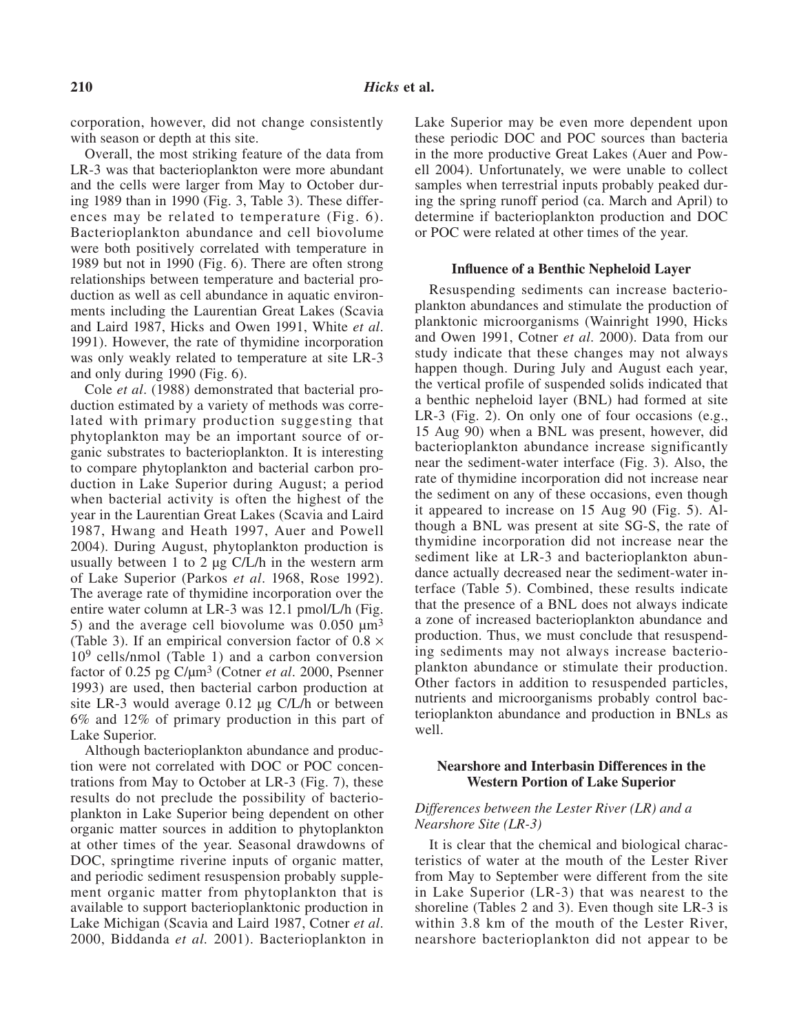corporation, however, did not change consistently with season or depth at this site.

Overall, the most striking feature of the data from LR-3 was that bacterioplankton were more abundant and the cells were larger from May to October during 1989 than in 1990 (Fig. 3, Table 3). These differences may be related to temperature (Fig. 6). Bacterioplankton abundance and cell biovolume were both positively correlated with temperature in 1989 but not in 1990 (Fig. 6). There are often strong relationships between temperature and bacterial production as well as cell abundance in aquatic environments including the Laurentian Great Lakes (Scavia and Laird 1987, Hicks and Owen 1991, White *et al*. 1991). However, the rate of thymidine incorporation was only weakly related to temperature at site LR-3 and only during 1990 (Fig. 6).

Cole *et al*. (1988) demonstrated that bacterial production estimated by a variety of methods was correlated with primary production suggesting that phytoplankton may be an important source of organic substrates to bacterioplankton. It is interesting to compare phytoplankton and bacterial carbon production in Lake Superior during August; a period when bacterial activity is often the highest of the year in the Laurentian Great Lakes (Scavia and Laird 1987, Hwang and Heath 1997, Auer and Powell 2004). During August, phytoplankton production is usually between 1 to 2 µg C/L/h in the western arm of Lake Superior (Parkos *et al*. 1968, Rose 1992). The average rate of thymidine incorporation over the entire water column at LR-3 was 12.1 pmol/L/h (Fig. 5) and the average cell biovolume was  $0.050 \mu m^3$ (Table 3). If an empirical conversion factor of  $0.8 \times$  $10<sup>9</sup>$  cells/nmol (Table 1) and a carbon conversion factor of 0.25 pg C/µm3 (Cotner *et al*. 2000, Psenner 1993) are used, then bacterial carbon production at site LR-3 would average 0.12 µg C/L/h or between 6% and 12% of primary production in this part of Lake Superior.

Although bacterioplankton abundance and production were not correlated with DOC or POC concentrations from May to October at LR-3 (Fig. 7), these results do not preclude the possibility of bacterioplankton in Lake Superior being dependent on other organic matter sources in addition to phytoplankton at other times of the year. Seasonal drawdowns of DOC, springtime riverine inputs of organic matter, and periodic sediment resuspension probably supplement organic matter from phytoplankton that is available to support bacterioplanktonic production in Lake Michigan (Scavia and Laird 1987, Cotner *et al*. 2000, Biddanda *et al.* 2001). Bacterioplankton in

Lake Superior may be even more dependent upon these periodic DOC and POC sources than bacteria in the more productive Great Lakes (Auer and Powell 2004). Unfortunately, we were unable to collect samples when terrestrial inputs probably peaked during the spring runoff period (ca. March and April) to determine if bacterioplankton production and DOC or POC were related at other times of the year.

#### **Influence of a Benthic Nepheloid Layer**

Resuspending sediments can increase bacterioplankton abundances and stimulate the production of planktonic microorganisms (Wainright 1990, Hicks and Owen 1991, Cotner *et al*. 2000). Data from our study indicate that these changes may not always happen though. During July and August each year, the vertical profile of suspended solids indicated that a benthic nepheloid layer (BNL) had formed at site LR-3 (Fig. 2). On only one of four occasions (e.g., 15 Aug 90) when a BNL was present, however, did bacterioplankton abundance increase significantly near the sediment-water interface (Fig. 3). Also, the rate of thymidine incorporation did not increase near the sediment on any of these occasions, even though it appeared to increase on 15 Aug 90 (Fig. 5). Although a BNL was present at site SG-S, the rate of thymidine incorporation did not increase near the sediment like at LR-3 and bacterioplankton abundance actually decreased near the sediment-water interface (Table 5). Combined, these results indicate that the presence of a BNL does not always indicate a zone of increased bacterioplankton abundance and production. Thus, we must conclude that resuspending sediments may not always increase bacterioplankton abundance or stimulate their production. Other factors in addition to resuspended particles, nutrients and microorganisms probably control bacterioplankton abundance and production in BNLs as well.

## **Nearshore and Interbasin Differences in the Western Portion of Lake Superior**

## *Differences between the Lester River (LR) and a Nearshore Site (LR-3)*

It is clear that the chemical and biological characteristics of water at the mouth of the Lester River from May to September were different from the site in Lake Superior (LR-3) that was nearest to the shoreline (Tables 2 and 3). Even though site LR-3 is within 3.8 km of the mouth of the Lester River, nearshore bacterioplankton did not appear to be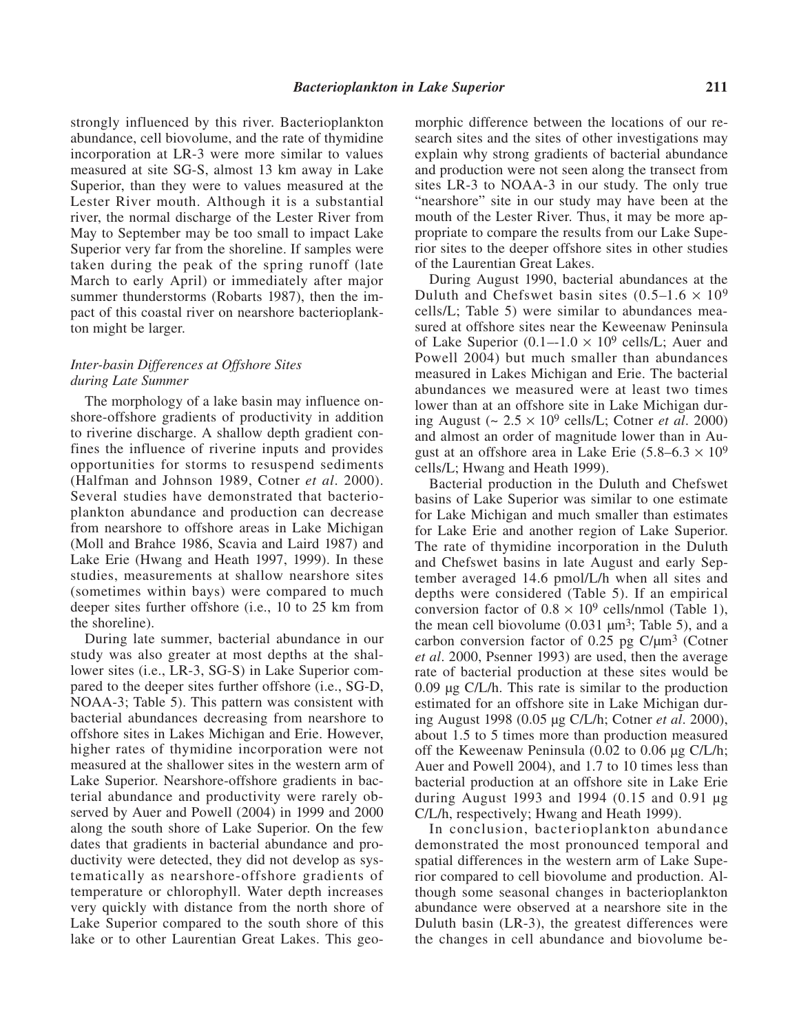strongly influenced by this river. Bacterioplankton abundance, cell biovolume, and the rate of thymidine incorporation at LR-3 were more similar to values measured at site SG-S, almost 13 km away in Lake Superior, than they were to values measured at the Lester River mouth. Although it is a substantial river, the normal discharge of the Lester River from May to September may be too small to impact Lake Superior very far from the shoreline. If samples were taken during the peak of the spring runoff (late March to early April) or immediately after major summer thunderstorms (Robarts 1987), then the impact of this coastal river on nearshore bacterioplankton might be larger.

## *Inter-basin Differences at Offshore Sites during Late Summer*

The morphology of a lake basin may influence onshore-offshore gradients of productivity in addition to riverine discharge. A shallow depth gradient confines the influence of riverine inputs and provides opportunities for storms to resuspend sediments (Halfman and Johnson 1989, Cotner *et al*. 2000). Several studies have demonstrated that bacterioplankton abundance and production can decrease from nearshore to offshore areas in Lake Michigan (Moll and Brahce 1986, Scavia and Laird 1987) and Lake Erie (Hwang and Heath 1997, 1999). In these studies, measurements at shallow nearshore sites (sometimes within bays) were compared to much deeper sites further offshore (i.e., 10 to 25 km from the shoreline).

During late summer, bacterial abundance in our study was also greater at most depths at the shallower sites (i.e., LR-3, SG-S) in Lake Superior compared to the deeper sites further offshore (i.e., SG-D, NOAA-3; Table 5). This pattern was consistent with bacterial abundances decreasing from nearshore to offshore sites in Lakes Michigan and Erie. However, higher rates of thymidine incorporation were not measured at the shallower sites in the western arm of Lake Superior. Nearshore-offshore gradients in bacterial abundance and productivity were rarely observed by Auer and Powell (2004) in 1999 and 2000 along the south shore of Lake Superior. On the few dates that gradients in bacterial abundance and productivity were detected, they did not develop as systematically as nearshore-offshore gradients of temperature or chlorophyll. Water depth increases very quickly with distance from the north shore of Lake Superior compared to the south shore of this lake or to other Laurentian Great Lakes. This geomorphic difference between the locations of our research sites and the sites of other investigations may explain why strong gradients of bacterial abundance and production were not seen along the transect from sites LR-3 to NOAA-3 in our study. The only true "nearshore" site in our study may have been at the mouth of the Lester River. Thus, it may be more appropriate to compare the results from our Lake Superior sites to the deeper offshore sites in other studies of the Laurentian Great Lakes.

During August 1990, bacterial abundances at the Duluth and Chefswet basin sites  $(0.5-1.6 \times 10^9)$ cells/L; Table 5) were similar to abundances measured at offshore sites near the Keweenaw Peninsula of Lake Superior  $(0.1-1.0 \times 10^9 \text{ cells/L})$ ; Auer and Powell 2004) but much smaller than abundances measured in Lakes Michigan and Erie. The bacterial abundances we measured were at least two times lower than at an offshore site in Lake Michigan during August (~ 2.5 × 109 cells/L; Cotner *et al*. 2000) and almost an order of magnitude lower than in August at an offshore area in Lake Erie  $(5.8-6.3 \times 10^9)$ cells/L; Hwang and Heath 1999).

Bacterial production in the Duluth and Chefswet basins of Lake Superior was similar to one estimate for Lake Michigan and much smaller than estimates for Lake Erie and another region of Lake Superior. The rate of thymidine incorporation in the Duluth and Chefswet basins in late August and early September averaged 14.6 pmol/L/h when all sites and depths were considered (Table 5). If an empirical conversion factor of  $0.8 \times 10^9$  cells/nmol (Table 1), the mean cell biovolume  $(0.031 \mu m^3)$ ; Table 5), and a carbon conversion factor of  $0.25$  pg  $C/\mu m^3$  (Cotner *et al*. 2000, Psenner 1993) are used, then the average rate of bacterial production at these sites would be 0.09 µg C/L/h. This rate is similar to the production estimated for an offshore site in Lake Michigan during August 1998 (0.05 µg C/L/h; Cotner *et al*. 2000), about 1.5 to 5 times more than production measured off the Keweenaw Peninsula (0.02 to 0.06 µg C/L/h; Auer and Powell 2004), and 1.7 to 10 times less than bacterial production at an offshore site in Lake Erie during August 1993 and 1994 (0.15 and 0.91 µg C/L/h, respectively; Hwang and Heath 1999).

In conclusion, bacterioplankton abundance demonstrated the most pronounced temporal and spatial differences in the western arm of Lake Superior compared to cell biovolume and production. Although some seasonal changes in bacterioplankton abundance were observed at a nearshore site in the Duluth basin (LR-3), the greatest differences were the changes in cell abundance and biovolume be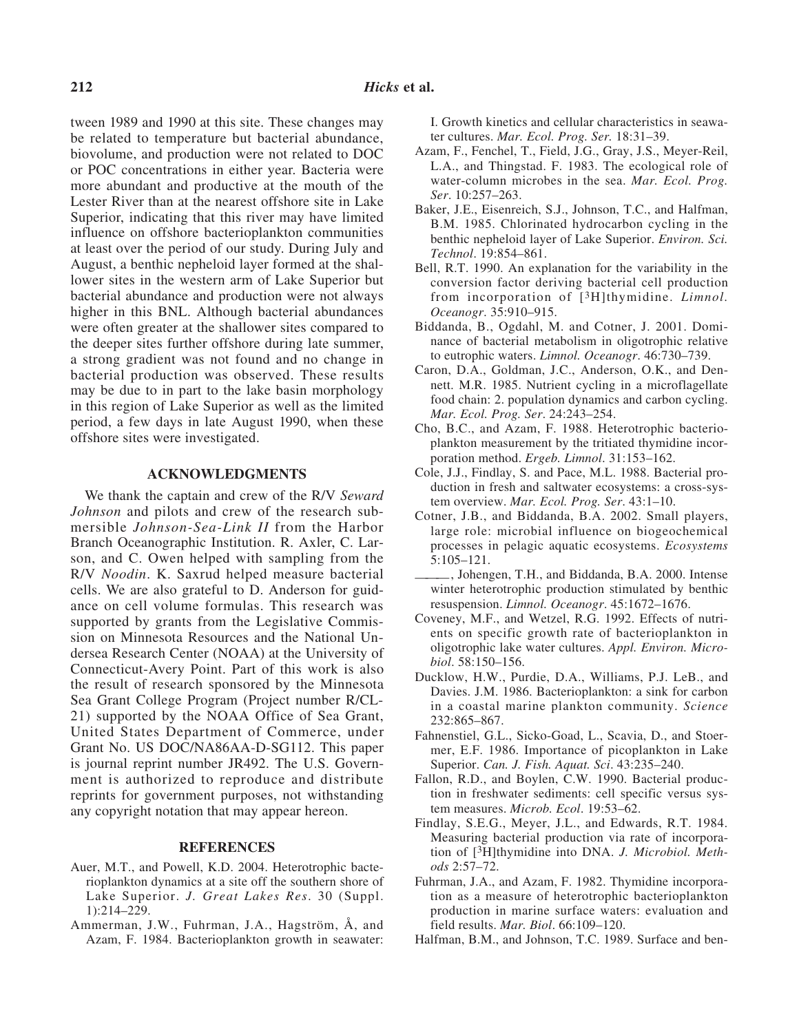tween 1989 and 1990 at this site. These changes may be related to temperature but bacterial abundance, biovolume, and production were not related to DOC or POC concentrations in either year. Bacteria were more abundant and productive at the mouth of the Lester River than at the nearest offshore site in Lake Superior, indicating that this river may have limited influence on offshore bacterioplankton communities at least over the period of our study. During July and August, a benthic nepheloid layer formed at the shallower sites in the western arm of Lake Superior but bacterial abundance and production were not always higher in this BNL. Although bacterial abundances were often greater at the shallower sites compared to the deeper sites further offshore during late summer, a strong gradient was not found and no change in bacterial production was observed. These results may be due to in part to the lake basin morphology in this region of Lake Superior as well as the limited period, a few days in late August 1990, when these offshore sites were investigated.

#### **ACKNOWLEDGMENTS**

We thank the captain and crew of the R/V *Seward Johnson* and pilots and crew of the research submersible *Johnson-Sea-Link II* from the Harbor Branch Oceanographic Institution. R. Axler, C. Larson, and C. Owen helped with sampling from the R/V *Noodin*. K. Saxrud helped measure bacterial cells. We are also grateful to D. Anderson for guidance on cell volume formulas. This research was supported by grants from the Legislative Commission on Minnesota Resources and the National Undersea Research Center (NOAA) at the University of Connecticut-Avery Point. Part of this work is also the result of research sponsored by the Minnesota Sea Grant College Program (Project number R/CL-21) supported by the NOAA Office of Sea Grant, United States Department of Commerce, under Grant No. US DOC/NA86AA-D-SG112. This paper is journal reprint number JR492. The U.S. Government is authorized to reproduce and distribute reprints for government purposes, not withstanding any copyright notation that may appear hereon.

## **REFERENCES**

- Auer, M.T., and Powell, K.D. 2004. Heterotrophic bacterioplankton dynamics at a site off the southern shore of Lake Superior. *J. Great Lakes Res*. 30 (Suppl. 1):214–229.
- Ammerman, J.W., Fuhrman, J.A., Hagström, Å, and Azam, F. 1984. Bacterioplankton growth in seawater:

I. Growth kinetics and cellular characteristics in seawater cultures. *Mar. Ecol. Prog. Ser.* 18:31–39.

- Azam, F., Fenchel, T., Field, J.G., Gray, J.S., Meyer-Reil, L.A., and Thingstad. F. 1983. The ecological role of water-column microbes in the sea. *Mar. Ecol. Prog. Ser*. 10:257–263.
- Baker, J.E., Eisenreich, S.J., Johnson, T.C., and Halfman, B.M. 1985. Chlorinated hydrocarbon cycling in the benthic nepheloid layer of Lake Superior. *Environ. Sci. Technol*. 19:854–861.
- Bell, R.T. 1990. An explanation for the variability in the conversion factor deriving bacterial cell production from incorporation of [3H]thymidine. *Limnol. Oceanogr*. 35:910–915.
- Biddanda, B., Ogdahl, M. and Cotner, J. 2001. Dominance of bacterial metabolism in oligotrophic relative to eutrophic waters. *Limnol. Oceanogr*. 46:730–739.
- Caron, D.A., Goldman, J.C., Anderson, O.K., and Dennett. M.R. 1985. Nutrient cycling in a microflagellate food chain: 2. population dynamics and carbon cycling. *Mar. Ecol. Prog. Ser*. 24:243–254.
- Cho, B.C., and Azam, F. 1988. Heterotrophic bacterioplankton measurement by the tritiated thymidine incorporation method. *Ergeb. Limnol*. 31:153–162.
- Cole, J.J., Findlay, S. and Pace, M.L. 1988. Bacterial production in fresh and saltwater ecosystems: a cross-system overview. *Mar. Ecol. Prog. Ser*. 43:1–10.
- Cotner, J.B., and Biddanda, B.A. 2002. Small players, large role: microbial influence on biogeochemical processes in pelagic aquatic ecosystems. *Ecosystems* 5:105–121.
- ———, Johengen, T.H., and Biddanda, B.A. 2000. Intense winter heterotrophic production stimulated by benthic resuspension. *Limnol. Oceanogr*. 45:1672–1676.
- Coveney, M.F., and Wetzel, R.G. 1992. Effects of nutrients on specific growth rate of bacterioplankton in oligotrophic lake water cultures. *Appl. Environ. Microbiol*. 58:150–156.
- Ducklow, H.W., Purdie, D.A., Williams, P.J. LeB., and Davies. J.M. 1986. Bacterioplankton: a sink for carbon in a coastal marine plankton community. *Science* 232:865–867.
- Fahnenstiel, G.L., Sicko-Goad, L., Scavia, D., and Stoermer, E.F. 1986. Importance of picoplankton in Lake Superior. *Can. J. Fish. Aquat. Sci*. 43:235–240.
- Fallon, R.D., and Boylen, C.W. 1990. Bacterial production in freshwater sediments: cell specific versus system measures. *Microb. Ecol*. 19:53–62.
- Findlay, S.E.G., Meyer, J.L., and Edwards, R.T. 1984. Measuring bacterial production via rate of incorporation of [3H]thymidine into DNA. *J. Microbiol. Methods* 2:57–72.
- Fuhrman, J.A., and Azam, F. 1982. Thymidine incorporation as a measure of heterotrophic bacterioplankton production in marine surface waters: evaluation and field results. *Mar. Biol*. 66:109–120.
- Halfman, B.M., and Johnson, T.C. 1989. Surface and ben-